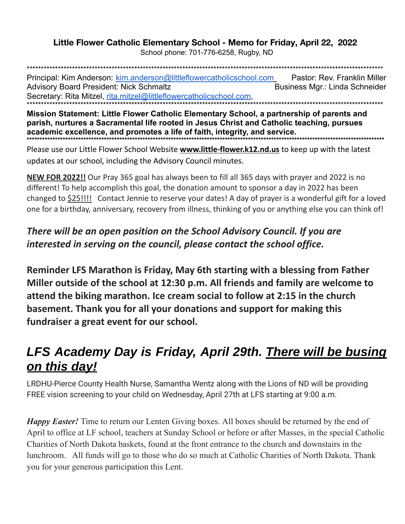## Little Flower Catholic Elementary School - Memo for Friday, April 22, 2022

School phone: 701-776-6258, Rugby, ND

Principal: Kim Anderson: kim.anderson@littleflowercatholicschool.com Pastor: Rev. Franklin Miller **Advisory Board President: Nick Schmaltz** Business Mgr.: Linda Schneider Secretary: Rita Mitzel, rita.mitzel@littleflowercatholicschool.com.

Mission Statement: Little Flower Catholic Elementary School, a partnership of parents and parish, nurtures a Sacramental life rooted in Jesus Christ and Catholic teaching, pursues academic excellence, and promotes a life of faith, integrity, and service. 

Please use our Little Flower School Website www.little-flower.k12.nd.us to keep up with the latest updates at our school, including the Advisory Council minutes.

NEW FOR 2022!! Our Pray 365 goal has always been to fill all 365 days with prayer and 2022 is no different! To help accomplish this goal, the donation amount to sponsor a day in 2022 has been changed to \$25!!!! Contact Jennie to reserve your dates! A day of prayer is a wonderful gift for a loved one for a birthday, anniversary, recovery from illness, thinking of you or anything else you can think of!

## There will be an open position on the School Advisory Council. If you are interested in serving on the council, please contact the school office.

Reminder LFS Marathon is Friday, May 6th starting with a blessing from Father Miller outside of the school at 12:30 p.m. All friends and family are welcome to attend the biking marathon. Ice cream social to follow at 2:15 in the church basement. Thank you for all your donations and support for making this fundraiser a great event for our school.

## LFS Academy Day is Friday, April 29th. There will be busing on this day!

LRDHU-Pierce County Health Nurse, Samantha Wentz along with the Lions of ND will be providing FREE vision screening to your child on Wednesday, April 27th at LFS starting at 9:00 a.m.

*Happy Easter!* Time to return our Lenten Giving boxes. All boxes should be returned by the end of April to office at LF school, teachers at Sunday School or before or after Masses, in the special Catholic Charities of North Dakota baskets, found at the front entrance to the church and downstairs in the lunchroom. All funds will go to those who do so much at Catholic Charities of North Dakota. Thank you for your generous participation this Lent.